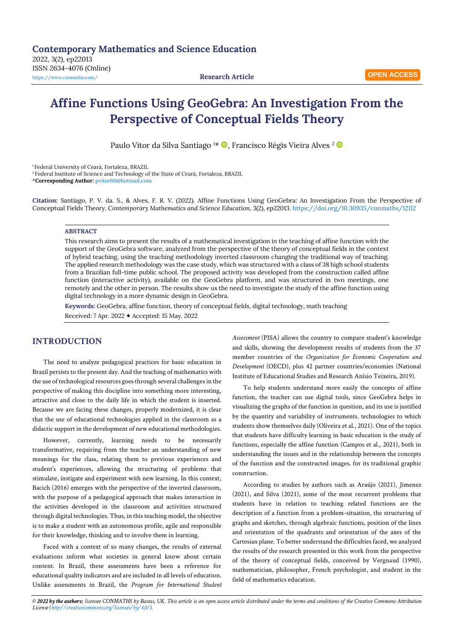# **Affine Functions Using GeoGebra: An Investigation From the Perspective of Conceptual Fields Theory**

Paulo Vitor da Silva Santiago<sup>1\*</sup> D, Francisco Régis Vieira Alves<sup>2</sup> D

<sup>1</sup> Federal University of Ceará, Fortaleza, BRAZIL

<sup>2</sup>Federal Institute of Science and Technology of the State of Ceará, Fortaleza, BRAZIL

\***Corresponding Author:** [pvitor60@hotmail.com](mailto:pvitor60@hotmail.com)

**Citation:** Santiago, P. V. da. S., & Alves, F. R. V. (2022). Affine Functions Using GeoGebra: An Investigation From the Perspective of Conceptual Fields Theory. *Contemporary Mathematics and Science Education, 3*(2), ep22013. <https://doi.org/10.30935/conmaths/12112>

### **ABSTRACT**

This research aims to present the results of a mathematical investigation in the teaching of affine function with the support of the GeoGebra software, analyzed from the perspective of the theory of conceptual fields in the context of hybrid teaching, using the teaching methodology inverted classroom changing the traditional way of teaching. The applied research methodology was the case study, which was structured with a class of 38 high school students from a Brazilian full-time public school. The proposed activity was developed from the construction called affine function (interactive activity), available on the GeoGebra platform, and was structured in two meetings, one remotely and the other in person. The results show us the need to investigate the study of the affine function using digital technology in a more dynamic design in GeoGebra.

**Keywords:** GeoGebra, affine function, theory of conceptual fields, digital technology, math teaching Received: 7 Apr. 2022 Accepted: 15 May. 2022

# **INTRODUCTION**

The need to analyze pedagogical practices for basic education in Brazil persists to the present day. And the teaching of mathematics with the use of technological resources goes through several challenges in the perspective of making this discipline into something more interesting, attractive and close to the daily life in which the student is inserted. Because we are facing these changes, properly modernized, it is clear that the use of educational technologies applied in the classroom as a didactic support in the development of new educational methodologies.

However, currently, learning needs to be necessarily transformative, requiring from the teacher an understanding of new meanings for the class, relating them to previous experiences and student's experiences, allowing the structuring of problems that stimulate, instigate and experiment with new learning. In this context, Bacich (2016) emerges with the perspective of the inverted classroom, with the purpose of a pedagogical approach that makes interaction in the activities developed in the classroom and activities structured through digital technologies. Thus, in this teaching model, the objective is to make a student with an autonomous profile, agile and responsible for their knowledge, thinking and to involve them in learning.

Faced with a context of so many changes, the results of external evaluations inform what societies in general know about certain content. In Brazil, these assessments have been a reference for educational quality indicators and are included in all levels of education. Unlike assessments in Brazil, the *Program for International Student*  *Assessment* (PISA) allows the country to compare student's knowledge and skills, showing the development results of students from the 37 member countries of the *Organization for Economic Cooperation and Development* (OECD), plus 42 partner countries/economies (National Institute of Educational Studies and Research Anísio Teixeira, 2019).

To help students understand more easily the concepts of affine function, the teacher can use digital tools, since GeoGebra helps in visualizing the graphs of the function in question, and its use is justified by the quantity and variability of instruments. technologies to which students show themselves daily (Oliveira et al., 2021). One of the topics that students have difficulty learning in basic education is the study of functions, especially the affine function (Campos et al., 2021), both in understanding the issues and in the relationship between the concepts of the function and the constructed images. for its traditional graphic construction.

According to studies by authors such as Araújo (2021), Jimenez (2021), and Silva (2021), some of the most recurrent problems that students have in relation to teaching related functions are the description of a function from a problem-situation, the structuring of graphs and sketches, through algebraic functions, position of the lines and orientation of the quadrants and orientation of the axes of the Cartesian plane. To better understand the difficulties faced, we analyzed the results of the research presented in this work from the perspective of the theory of conceptual fields, conceived by Vergnaud (1990), mathematician, philosopher, French psychologist, and student in the field of mathematics education.

*© 2022 by the authors; licensee CONMATHS by Bastas, UK. This article is an open access article distributed under the terms and conditions of the Creative Commons Attribution License [\(http://creativecommons.org/licenses/by/4.0/\).](http://creativecommons.org/licenses/by/4.0/)*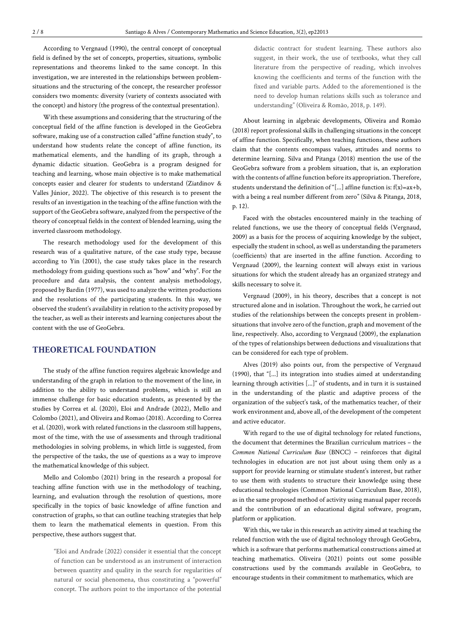According to Vergnaud (1990), the central concept of conceptual field is defined by the set of concepts, properties, situations, symbolic representations and theorems linked to the same concept. In this investigation, we are interested in the relationships between problemsituations and the structuring of the concept, the researcher professor considers two moments: diversity (variety of contexts associated with the concept) and history (the progress of the contextual presentation).

With these assumptions and considering that the structuring of the conceptual field of the affine function is developed in the GeoGebra software, making use of a construction called "affine function study", to understand how students relate the concept of affine function, its mathematical elements, and the handling of its graph, through a dynamic didactic situation. GeoGebra is a program designed for teaching and learning, whose main objective is to make mathematical concepts easier and clearer for students to understand (Ziatdinov & Valles Júnior, 2022). The objective of this research is to present the results of an investigation in the teaching of the affine function with the support of the GeoGebra software, analyzed from the perspective of the theory of conceptual fields in the context of blended learning, using the inverted classroom methodology.

The research methodology used for the development of this research was of a qualitative nature, of the case study type, because according to Yin (2001), the case study takes place in the research methodology from guiding questions such as "how" and "why". For the procedure and data analysis, the content analysis methodology, proposed by Bardin (1977), was used to analyze the written productions and the resolutions of the participating students. In this way, we observed the student's availability in relation to the activity proposed by the teacher, as well as their interests and learning conjectures about the content with the use of GeoGebra.

### **THEORETICAL FOUNDATION**

The study of the affine function requires algebraic knowledge and understanding of the graph in relation to the movement of the line, in addition to the ability to understand problems, which is still an immense challenge for basic education students, as presented by the studies by Correa et al. (2020), Eloi and Andrade (2022), Mello and Colombo (2021), and Oliveira and Romao (2018). According to Correa et al. (2020), work with related functions in the classroom still happens, most of the time, with the use of assessments and through traditional methodologies in solving problems, in which little is suggested, from the perspective of the tasks, the use of questions as a way to improve the mathematical knowledge of this subject.

Mello and Colombo (2021) bring in the research a proposal for teaching affine function with use in the methodology of teaching, learning, and evaluation through the resolution of questions, more specifically in the topics of basic knowledge of affine function and construction of graphs, so that can outline teaching strategies that help them to learn the mathematical elements in question. From this perspective, these authors suggest that.

> "Eloi and Andrade (2022) consider it essential that the concept of function can be understood as an instrument of interaction between quantity and quality in the search for regularities of natural or social phenomena, thus constituting a "powerful" concept. The authors point to the importance of the potential

didactic contract for student learning. These authors also suggest, in their work, the use of textbooks, what they call literature from the perspective of reading, which involves knowing the coefficients and terms of the function with the fixed and variable parts. Added to the aforementioned is the need to develop human relations skills such as tolerance and understanding" (Oliveira & Romão, 2018, p. 149).

About learning in algebraic developments, Oliveira and Romão (2018) report professional skills in challenging situations in the concept of affine function. Specifically, when teaching functions, these authors claim that the contents encompass values, attitudes and norms to determine learning. Silva and Pitanga (2018) mention the use of the GeoGebra software from a problem situation, that is, an exploration with the contents of affine function before its appropriation. Therefore, students understand the definition of "[...] affine function is:  $f(x) = ax + b$ , with a being a real number different from zero" (Silva & Pitanga, 2018, p. 12).

Faced with the obstacles encountered mainly in the teaching of related functions, we use the theory of conceptual fields (Vergnaud, 2009) as a basis for the process of acquiring knowledge by the subject, especially the student in school, as well as understanding the parameters (coefficients) that are inserted in the affine function. According to Vergnaud (2009), the learning context will always exist in various situations for which the student already has an organized strategy and skills necessary to solve it.

Vergnaud (2009), in his theory, describes that a concept is not structured alone and in isolation. Throughout the work, he carried out studies of the relationships between the concepts present in problemsituations that involve zero of the function, graph and movement of the line, respectively. Also, according to Vergnaud (2009), the explanation of the types of relationships between deductions and visualizations that can be considered for each type of problem.

Alves (2019) also points out, from the perspective of Vergnaud (1990), that "[...] its integration into studies aimed at understanding learning through activities [...]" of students, and in turn it is sustained in the understanding of the plastic and adaptive process of the organization of the subject's task, of the mathematics teacher, of their work environment and, above all, of the development of the competent and active educator.

With regard to the use of digital technology for related functions, the document that determines the Brazilian curriculum matrices – the *Common National Curriculum Base* (BNCC) – reinforces that digital technologies in education are not just about using them only as a support for provide learning or stimulate student's interest, but rather to use them with students to structure their knowledge using these educational technologies (Common National Curriculum Base, 2018), as in the same proposed method of activity using manual paper records and the contribution of an educational digital software, program, platform or application.

With this, we take in this research an activity aimed at teaching the related function with the use of digital technology through GeoGebra, which is a software that performs mathematical constructions aimed at teaching mathematics. Oliveira (2021) points out some possible constructions used by the commands available in GeoGebra, to encourage students in their commitment to mathematics, which are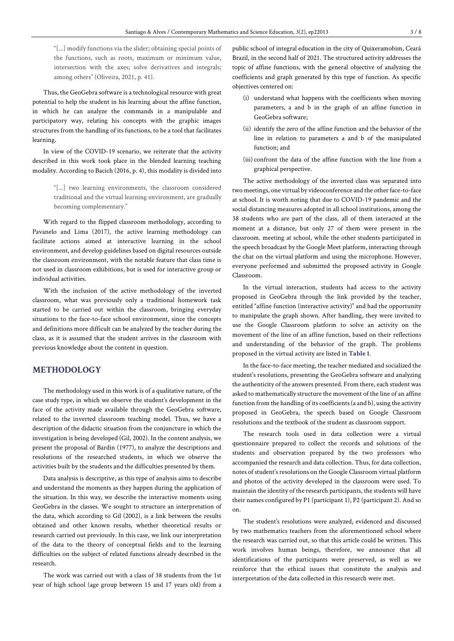"[...] modify functions via the slider; obtaining special points of the functions, such as roots, maximum or minimum value, intersection with the axes; solve derivatives and integrals; among others" (Oliveira, 2021, p. 41).

Thus, the GeoGebra software is a technological resource with great potential to help the student in his learning about the affine function, in which he can analyze the commands in a manipulable and participatory way, relating his concepts with the graphic images structures from the handling of its functions, to be a tool that facilitates learning.

In view of the COVID-19 scenario, we reiterate that the activity described in this work took place in the blended learning teaching modality. According to Bacich (2016, p. 4), this modality is divided into

> "[...] two learning environments, the classroom considered traditional and the virtual learning environment, are gradually becoming complementary."

With regard to the flipped classroom methodology, according to Pavanelo and Lima (2017), the active learning methodology can facilitate actions aimed at interactive learning in the school environment, and develop guidelines based on digital resources outside the classroom environment, with the notable feature that class time is not used in classroom exhibitions, but is used for interactive group or individual activities.

With the inclusion of the active methodology of the inverted classroom, what was previously only a traditional homework task started to be carried out within the classroom, bringing everyday situations to the face-to-face school environment, since the concepts and definitions more difficult can be analyzed by the teacher during the class, as it is assumed that the student arrives in the classroom with previous knowledge about the content in question.

# **METHODOLOGY**

The methodology used in this work is of a qualitative nature, of the case study type, in which we observe the student's development in the face of the activity made available through the GeoGebra software, related to the inverted classroom teaching model. Thus, we have a description of the didactic situation from the conjuncture in which the investigation is being developed (Gil, 2002). In the content analysis, we present the proposal of Bardin (1977), to analyze the descriptions and resolutions of the researched students, in which we observe the activities built by the students and the difficulties presented by them.

Data analysis is descriptive, as this type of analysis aims to describe and understand the moments as they happen during the application of the situation. In this way, we describe the interactive moments using GeoGebra in the classes. We sought to structure an interpretation of the data, which according to Gil (2002), is a link between the results obtained and other known results, whether theoretical results or research carried out previously. In this case, we link our interpretation of the data to the theory of conceptual fields and to the learning difficulties on the subject of related functions already described in the research.

The work was carried out with a class of 38 students from the 1st year of high school (age group between 15 and 17 years old) from a public school of integral education in the city of Quixeramobim, Ceará Brazil, in the second half of 2021. The structured activity addresses the topic of affine functions, with the general objective of analyzing the coefficients and graph generated by this type of function. As specific objectives centered on:

- (i) understand what happens with the coefficients when moving parameters, a and b in the graph of an affine function in GeoGebra software;
- (ii) identify the zero of the affine function and the behavior of the line in relation to parameters a and b of the manipulated function; and
- (iii) confront the data of the affine function with the line from a graphical perspective.

The active methodology of the inverted class was separated into two meetings, one virtual by videoconference and the other face-to-face at school. It is worth noting that due to COVID-19 pandemic and the social distancing measures adopted in all school institutions, among the 38 students who are part of the class, all of them interacted at the moment at a distance, but only 27 of them were present in the classroom. meeting at school, while the other students participated in the speech broadcast by the Google Meet platform, interacting through the chat on the virtual platform and using the microphone. However, everyone performed and submitted the proposed activity in Google Classroom.

In the virtual interaction, students had access to the activity proposed in GeoGebra through the link provided by the teacher, entitled "affine function (interactive activity)" and had the opportunity to manipulate the graph shown. After handling, they were invited to use the Google Classroom platform to solve an activity on the movement of the line of an affine function, based on their reflections and understanding of the behavior of the graph. The problems proposed in the virtual activity are listed in **Table 1**.

In the face-to-face meeting, the teacher mediated and socialized the student's resolutions, presenting the GeoGebra software and analyzing the authenticity of the answers presented. From there, each student was asked to mathematically structure the movement of the line of an affine function from the handling of its coefficients (a and b), using the activity proposed in GeoGebra, the speech based on Google Classroom resolutions and the textbook of the student as classroom support.

The research tools used in data collection were a virtual questionnaire prepared to collect the records and solutions of the students and observation prepared by the two professors who accompanied the research and data collection. Thus, for data collection, notes of student's resolutions on the Google Classroom virtual platform and photos of the activity developed in the classroom were used. To maintain the identity of the research participants, the students will have their names configured by P1 (participant 1), P2 (participant 2). And so on.

The student's resolutions were analyzed, evidenced and discussed by two mathematics teachers from the aforementioned school where the research was carried out, so that this article could be written. This work involves human beings, therefore, we announce that all identifications of the participants were preserved, as well as we reinforce that the ethical issues that constitute the analysis and interpretation of the data collected in this research were met.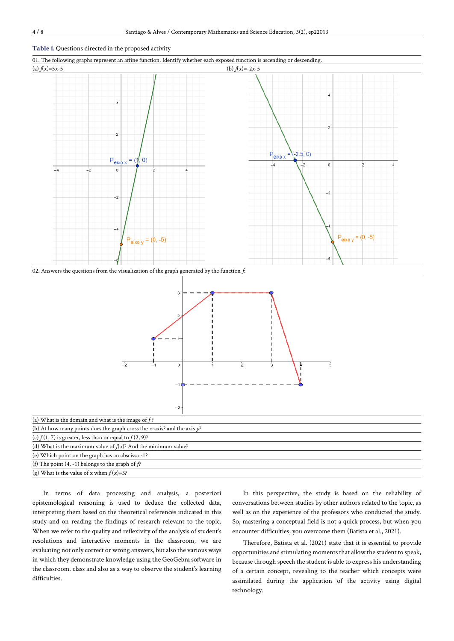#### **Table 1.** Questions directed in the proposed activity





| (b) At how many points does the graph cross the x-axis? and the axis $\gamma$ ? |
|---------------------------------------------------------------------------------|
| (c) $f(1, 7)$ is greater, less than or equal to $f(2, 9)$ ?                     |
| (d) What is the maximum value of $f(x)$ ? And the minimum value?                |
| (e) Which point on the graph has an abscissa -1?                                |
| (f) The point $(4, -1)$ belongs to the graph of $f$ ?                           |
| (g) What is the value of x when $f(x)=3$ ?                                      |

In terms of data processing and analysis, a posteriori epistemological reasoning is used to deduce the collected data, interpreting them based on the theoretical references indicated in this study and on reading the findings of research relevant to the topic. When we refer to the quality and reflexivity of the analysis of student's resolutions and interactive moments in the classroom, we are evaluating not only correct or wrong answers, but also the various ways in which they demonstrate knowledge using the GeoGebra software in the classroom. class and also as a way to observe the student's learning difficulties.

In this perspective, the study is based on the reliability of conversations between studies by other authors related to the topic, as well as on the experience of the professors who conducted the study. So, mastering a conceptual field is not a quick process, but when you encounter difficulties, you overcome them (Batista et al., 2021).

Therefore, Batista et al. (2021) state that it is essential to provide opportunities and stimulating moments that allow the student to speak, because through speech the student is able to express his understanding of a certain concept, revealing to the teacher which concepts were assimilated during the application of the activity using digital technology.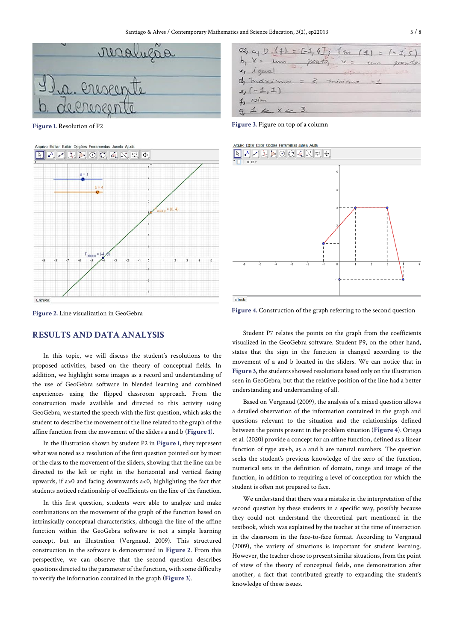

**Figure 1.** Resolution of P2



**Figure 2.** Line visualization in GeoGebra

# **RESULTS AND DATA ANALYSIS**

In this topic, we will discuss the student's resolutions to the proposed activities, based on the theory of conceptual fields. In addition, we highlight some images as a record and understanding of the use of GeoGebra software in blended learning and combined experiences using the flipped classroom approach. From the construction made available and directed to this activity using GeoGebra, we started the speech with the first question, which asks the student to describe the movement of the line related to the graph of the affine function from the movement of the sliders a and b (**Figure 1**).

In the illustration shown by student P2 in **Figure 1**, they represent what was noted as a resolution of the first question pointed out by most of the class to the movement of the sliders, showing that the line can be directed to the left or right in the horizontal and vertical facing upwards, if a>0 and facing downwards a<0, highlighting the fact that students noticed relationship of coefficients on the line of the function.

In this first question, students were able to analyze and make combinations on the movement of the graph of the function based on intrinsically conceptual characteristics, although the line of the affine function within the GeoGebra software is not a simple learning concept, but an illustration (Vergnaud, 2009). This structured construction in the software is demonstrated in **Figure 2**. From this perspective, we can observe that the second question describes questions directed to the parameter of the function, with some difficulty to verify the information contained in the graph (**Figure 3**).



**Figure 3.** Figure on top of a column



**Figure 4.** Construction of the graph referring to the second question

Student P7 relates the points on the graph from the coefficients visualized in the GeoGebra software. Student P9, on the other hand, states that the sign in the function is changed according to the movement of a and b located in the sliders. We can notice that in **Figure 3**, the students showed resolutions based only on the illustration seen in GeoGebra, but that the relative position of the line had a better understanding and understanding of all.

Based on Vergnaud (2009), the analysis of a mixed question allows a detailed observation of the information contained in the graph and questions relevant to the situation and the relationships defined between the points present in the problem situation (**Figure 4**). Ortega et al. (2020) provide a concept for an affine function, defined as a linear function of type ax+b, as a and b are natural numbers. The question seeks the student's previous knowledge of the zero of the function, numerical sets in the definition of domain, range and image of the function, in addition to requiring a level of conception for which the student is often not prepared to face.

We understand that there was a mistake in the interpretation of the second question by these students in a specific way, possibly because they could not understand the theoretical part mentioned in the textbook, which was explained by the teacher at the time of interaction in the classroom in the face-to-face format. According to Vergnaud (2009), the variety of situations is important for student learning. However, the teacher chose to present similar situations, from the point of view of the theory of conceptual fields, one demonstration after another, a fact that contributed greatly to expanding the student's knowledge of these issues.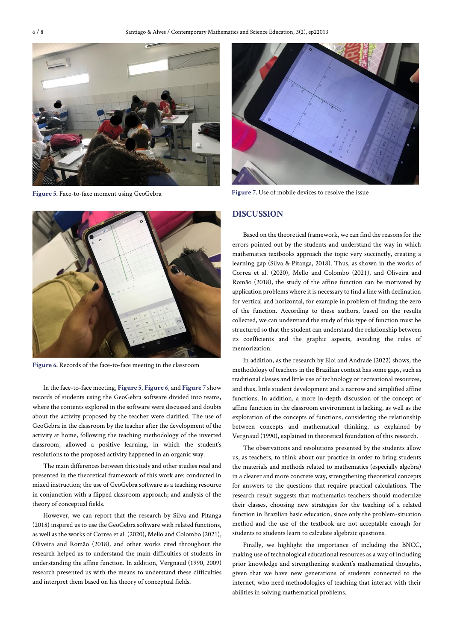

**Figure 5.** Face-to-face moment using GeoGebra



**Figure 6.** Records of the face-to-face meeting in the classroom

In the face-to-face meeting, **Figure 5**, **Figure 6**, and **Figure 7** show records of students using the GeoGebra software divided into teams, where the contents explored in the software were discussed and doubts about the activity proposed by the teacher were clarified. The use of GeoGebra in the classroom by the teacher after the development of the activity at home, following the teaching methodology of the inverted classroom, allowed a positive learning, in which the student's resolutions to the proposed activity happened in an organic way.

The main differences between this study and other studies read and presented in the theoretical framework of this work are: conducted in mixed instruction; the use of GeoGebra software as a teaching resource in conjunction with a flipped classroom approach; and analysis of the theory of conceptual fields.

However, we can report that the research by Silva and Pitanga (2018) inspired us to use the GeoGebra software with related functions, as well as the works of Correa et al. (2020), Mello and Colombo (2021), Oliveira and Romão (2018), and other works cited throughout the research helped us to understand the main difficulties of students in understanding the affine function. In addition, Vergnaud (1990, 2009) research presented us with the means to understand these difficulties and interpret them based on his theory of conceptual fields.



**Figure 7.** Use of mobile devices to resolve the issue

### **DISCUSSION**

Based on the theoretical framework, we can find the reasons for the errors pointed out by the students and understand the way in which mathematics textbooks approach the topic very succinctly, creating a learning gap (Silva & Pitanga, 2018). Thus, as shown in the works of Correa et al. (2020), Mello and Colombo (2021), and Oliveira and Romão (2018), the study of the affine function can be motivated by application problems where it is necessary to find a line with declination for vertical and horizontal, for example in problem of finding the zero of the function. According to these authors, based on the results collected, we can understand the study of this type of function must be structured so that the student can understand the relationship between its coefficients and the graphic aspects, avoiding the rules of memorization.

In addition, as the research by Eloi and Andrade (2022) shows, the methodology of teachers in the Brazilian context has some gaps, such as traditional classes and little use of technology or recreational resources, and thus, little student development and a narrow and simplified affine functions. In addition, a more in-depth discussion of the concept of affine function in the classroom environment is lacking, as well as the exploration of the concepts of functions, considering the relationship between concepts and mathematical thinking, as explained by Vergnaud (1990), explained in theoretical foundation of this research.

The observations and resolutions presented by the students allow us, as teachers, to think about our practice in order to bring students the materials and methods related to mathematics (especially algebra) in a clearer and more concrete way, strengthening theoretical concepts for answers to the questions that require practical calculations. The research result suggests that mathematics teachers should modernize their classes, choosing new strategies for the teaching of a related function in Brazilian basic education, since only the problem-situation method and the use of the textbook are not acceptable enough for students to students learn to calculate algebraic questions.

Finally, we highlight the importance of including the BNCC, making use of technological educational resources as a way of including prior knowledge and strengthening student's mathematical thoughts, given that we have new generations of students connected to the internet, who need methodologies of teaching that interact with their abilities in solving mathematical problems.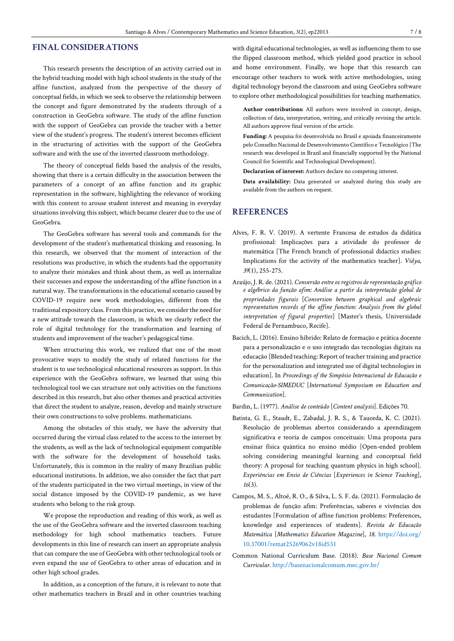# **FINAL CONSIDERATIONS**

This research presents the description of an activity carried out in the hybrid teaching model with high school students in the study of the affine function, analyzed from the perspective of the theory of conceptual fields, in which we seek to observe the relationship between the concept and figure demonstrated by the students through of a construction in GeoGebra software. The study of the affine function with the support of GeoGebra can provide the teacher with a better view of the student's progress. The student's interest becomes efficient in the structuring of activities with the support of the GeoGebra software and with the use of the inverted classroom methodology.

The theory of conceptual fields based the analysis of the results, showing that there is a certain difficulty in the association between the parameters of a concept of an affine function and its graphic representation in the software, highlighting the relevance of working with this content to arouse student interest and meaning in everyday situations involving this subject, which became clearer due to the use of GeoGebra.

The GeoGebra software has several tools and commands for the development of the student's mathematical thinking and reasoning. In this research, we observed that the moment of interaction of the resolutions was productive, in which the students had the opportunity to analyze their mistakes and think about them, as well as internalize their successes and expose the understanding of the affine function in a natural way. The transformations in the educational scenario caused by COVID-19 require new work methodologies, different from the traditional expository class. From this practice, we consider the need for a new attitude towards the classroom, in which we clearly reflect the role of digital technology for the transformation and learning of students and improvement of the teacher's pedagogical time.

When structuring this work, we realized that one of the most provocative ways to modify the study of related functions for the student is to use technological educational resources as support. In this experience with the GeoGebra software, we learned that using this technological tool we can structure not only activities on the functions described in this research, but also other themes and practical activities that direct the student to analyze, reason, develop and mainly structure their own constructions to solve problems. mathematicians.

Among the obstacles of this study, we have the adversity that occurred during the virtual class related to the access to the internet by the students, as well as the lack of technological equipment compatible with the software for the development of household tasks. Unfortunately, this is common in the reality of many Brazilian public educational institutions. In addition, we also consider the fact that part of the students participated in the two virtual meetings, in view of the social distance imposed by the COVID-19 pandemic, as we have students who belong to the risk group.

We propose the reproduction and reading of this work, as well as the use of the GeoGebra software and the inverted classroom teaching methodology for high school mathematics teachers. Future developments in this line of research can insert an appropriate analysis that can compare the use of GeoGebra with other technological tools or even expand the use of GeoGebra to other areas of education and in other high school grades.

In addition, as a conception of the future, it is relevant to note that other mathematics teachers in Brazil and in other countries teaching with digital educational technologies, as well as influencing them to use the flipped classroom method, which yielded good practice in school and home environment. Finally, we hope that this research can encourage other teachers to work with active methodologies, using digital technology beyond the classroom and using GeoGebra software to explore other methodological possibilities for teaching mathematics.

**Author contributions:** All authors were involved in concept, design, collection of data, interpretation, writing, and critically revising the article. All authors approve final version of the article.

**Funding:** A pesquisa foi desenvolvida no Brasil e apoiada financeiramente pelo Conselho Nacional de Desenvolvimento Científico e Tecnológico [The research was developed in Brazil and financially supported by the National Council for Scientific and Technological Development].

**Declaration of interest:** Authors declare no competing interest.

**Data availability:** Data generated or analyzed during this study are available from the authors on request.

# **REFERENCES**

- Alves, F. R. V. (2019). A vertente Francesa de estudos da didática profissional: Implicações para a atividade do professor de matemática [The French branch of professional didactics studies: Implications for the activity of the mathematics teacher]. *Vidya, 39*(1), 255-275.
- Araújo, J. R. de. (2021). *Conversão entre os registros de representação gráfico e algébrico da função afim: Análise a partir da interpretação global de propriedades figurais* [*Conversion between graphical and algebraic representation records of the affine function: Analysis from the global interpretation of figural properties*] [Master's thesis, Universidade Federal de Pernambuco, Recife].
- Bacich, L. (2016). Ensino híbrido: Relato de formação e prática docente para a personalização e o uso integrado das tecnologias digitais na educação [Blended teaching: Report of teacher training and practice for the personalization and integrated use of digital technologies in education]. In *Proceedings of the Simpósio Internacional de Educação e Comunicação-SIMEDUC* [*International Symposium on Education and Communication*].

Bardin, L. (1977). *Análise de conteúdo* [*Content analysis*]*.* Edições 70.

- Batista, G. E., Staudt, E., Zabadal, J. R. S., & Tauceda, K. C. (2021). Resolução de problemas abertos considerando a aprendizagem significativa e teoria de campos conceituais: Uma proposta para ensinar física quântica no ensino médio [Open-ended problem solving considering meaningful learning and conceptual field theory: A proposal for teaching quantum physics in high school]. *Experiências em Ensio de Ciências* [*Experiences in Science Teaching*]*, 16*(3).
- Campos, M. S., Altoé, R. O., & Silva, L. S. F. da. (2021). Formulação de problemas de função afim: Preferências, saberes e vivências dos estudantes [Formulation of affine function problems: Preferences, knowledge and experiences of students]. *Revista de Educação Matemática* [*Mathematics Education Magazine*]*, 18*. [https://doi.org/](https://doi.org/10.37001/remat25269062v18id531) [10.37001/remat25269062v18id531](https://doi.org/10.37001/remat25269062v18id531)
- Common National Curriculum Base. (2018). *Base Nacional Comum Curricular*[. http://basenacionalcomum.mec.gov.br/](http://basenacionalcomum.mec.gov.br/)